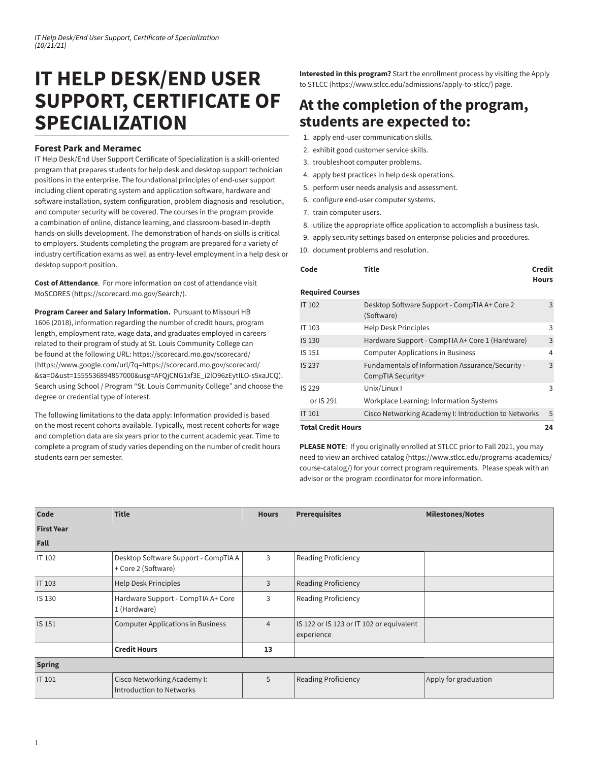## **IT HELP DESK/END USER SUPPORT, CERTIFICATE OF SPECIALIZATION**

## **Forest Park and Meramec**

IT Help Desk/End User Support Certificate of Specialization is a skill-oriented program that prepares students for help desk and desktop support technician positions in the enterprise. The foundational principles of end-user support including client operating system and application software, hardware and software installation, system configuration, problem diagnosis and resolution, and computer security will be covered. The courses in the program provide a combination of online, distance learning, and classroom-based in-depth hands-on skills development. The demonstration of hands-on skills is critical to employers. Students completing the program are prepared for a variety of industry certification exams as well as entry-level employment in a help desk or desktop support position.

**Cost of Attendance**. For more information on cost of attendance visit [MoSCORES](https://scorecard.mo.gov/Search/) [\(https://scorecard.mo.gov/Search/\)](https://scorecard.mo.gov/Search/).

**Program Career and Salary Information.** Pursuant to Missouri HB 1606 (2018), information regarding the number of credit hours, program length, employment rate, wage data, and graduates employed in careers related to their program of study at St. Louis Community College can be found at the following URL: [https://scorecard.mo.gov/scorecard/](https://www.google.com/url/?q=https://scorecard.mo.gov/scorecard/&sa=D&ust=1555536894857000&usg=AFQjCNG1xf3E_i2lO96zEytILO-s5xaJCQ) [\(https://www.google.com/url/?q=https://scorecard.mo.gov/scorecard/](https://www.google.com/url/?q=https://scorecard.mo.gov/scorecard/&sa=D&ust=1555536894857000&usg=AFQjCNG1xf3E_i2lO96zEytILO-s5xaJCQ) [&sa=D&ust=1555536894857000&usg=AFQjCNG1xf3E\\_i2lO96zEytILO-s5xaJCQ\)](https://www.google.com/url/?q=https://scorecard.mo.gov/scorecard/&sa=D&ust=1555536894857000&usg=AFQjCNG1xf3E_i2lO96zEytILO-s5xaJCQ). Search using School / Program "St. Louis Community College" and choose the degree or credential type of interest.

The following limitations to the data apply: Information provided is based on the most recent cohorts available. Typically, most recent cohorts for wage and completion data are six years prior to the current academic year. Time to complete a program of study varies depending on the number of credit hours students earn per semester.

**Interested in this program?** Start the enrollment process by visiting the [Apply](https://www.stlcc.edu/admissions/apply-to-stlcc/) to [STLCC](https://www.stlcc.edu/admissions/apply-to-stlcc/) (<https://www.stlcc.edu/admissions/apply-to-stlcc/>) page.

## **At the completion of the program, students are expected to:**

- 1. apply end-user communication skills.
- 2. exhibit good customer service skills.
- 3. troubleshoot computer problems.
- 4. apply best practices in help desk operations.
- 5. perform user needs analysis and assessment.
- 6. configure end-user computer systems.
- 7. train computer users.
- 8. utilize the appropriate office application to accomplish a business task.
- 9. apply security settings based on enterprise policies and procedures.
- 10. document problems and resolution.

| Code                                                           | Title                                                                 | Credit<br><b>Hours</b> |  |  |
|----------------------------------------------------------------|-----------------------------------------------------------------------|------------------------|--|--|
| <b>Required Courses</b>                                        |                                                                       |                        |  |  |
| <b>IT 102</b>                                                  | Desktop Software Support - CompTIA A+ Core 2<br>(Software)            |                        |  |  |
| Help Desk Principles<br>IT 103                                 |                                                                       |                        |  |  |
| IS 130                                                         | Hardware Support - CompTIA A+ Core 1 (Hardware)                       |                        |  |  |
| IS 151                                                         | <b>Computer Applications in Business</b>                              |                        |  |  |
| <b>IS 237</b>                                                  | Fundamentals of Information Assurance/Security -<br>CompTIA Security+ |                        |  |  |
| IS 229                                                         | Unix/Linux I                                                          | 3                      |  |  |
| or IS 291                                                      | Workplace Learning: Information Systems                               |                        |  |  |
| Cisco Networking Academy I: Introduction to Networks<br>IT 101 |                                                                       |                        |  |  |
| <b>Total Credit Hours</b>                                      |                                                                       | 24                     |  |  |

**PLEASE NOTE**: If you originally enrolled at STLCC prior to Fall 2021, you may need to view an [archived](https://www.stlcc.edu/programs-academics/course-catalog/) catalog [\(https://www.stlcc.edu/programs-academics/](https://www.stlcc.edu/programs-academics/course-catalog/) [course-catalog/\)](https://www.stlcc.edu/programs-academics/course-catalog/) for your correct program requirements. Please speak with an advisor or the program coordinator for more information.

| Code              | <b>Title</b>                                                | <b>Hours</b>   | <b>Prerequisites</b>                                   | <b>Milestones/Notes</b> |
|-------------------|-------------------------------------------------------------|----------------|--------------------------------------------------------|-------------------------|
| <b>First Year</b> |                                                             |                |                                                        |                         |
| Fall              |                                                             |                |                                                        |                         |
| IT 102            | Desktop Software Support - CompTIA A<br>+ Core 2 (Software) | 3              | Reading Proficiency                                    |                         |
| <b>IT 103</b>     | <b>Help Desk Principles</b>                                 | 3              | <b>Reading Proficiency</b>                             |                         |
| IS 130            | Hardware Support - CompTIA A+ Core<br>1 (Hardware)          | 3              | <b>Reading Proficiency</b>                             |                         |
| IS 151            | <b>Computer Applications in Business</b>                    | $\overline{4}$ | IS 122 or IS 123 or IT 102 or equivalent<br>experience |                         |
|                   | <b>Credit Hours</b>                                         | 13             |                                                        |                         |
| <b>Spring</b>     |                                                             |                |                                                        |                         |
| <b>IT 101</b>     | Cisco Networking Academy I:<br>Introduction to Networks     | 5              | <b>Reading Proficiency</b>                             | Apply for graduation    |